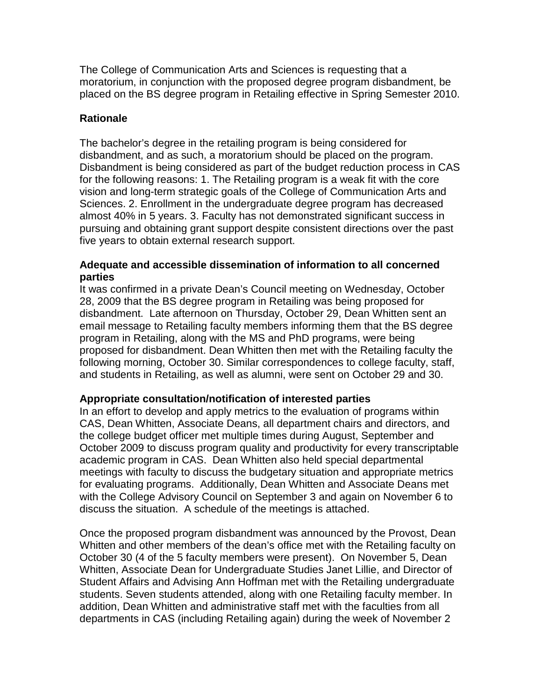The College of Communication Arts and Sciences is requesting that a moratorium, in conjunction with the proposed degree program disbandment, be placed on the BS degree program in Retailing effective in Spring Semester 2010.

# **Rationale**

The bachelor's degree in the retailing program is being considered for disbandment, and as such, a moratorium should be placed on the program. Disbandment is being considered as part of the budget reduction process in CAS for the following reasons: 1. The Retailing program is a weak fit with the core vision and long-term strategic goals of the College of Communication Arts and Sciences. 2. Enrollment in the undergraduate degree program has decreased almost 40% in 5 years. 3. Faculty has not demonstrated significant success in pursuing and obtaining grant support despite consistent directions over the past five years to obtain external research support.

## **Adequate and accessible dissemination of information to all concerned parties**

It was confirmed in a private Dean's Council meeting on Wednesday, October 28, 2009 that the BS degree program in Retailing was being proposed for disbandment. Late afternoon on Thursday, October 29, Dean Whitten sent an email message to Retailing faculty members informing them that the BS degree program in Retailing, along with the MS and PhD programs, were being proposed for disbandment. Dean Whitten then met with the Retailing faculty the following morning, October 30. Similar correspondences to college faculty, staff, and students in Retailing, as well as alumni, were sent on October 29 and 30.

### **Appropriate consultation/notification of interested parties**

In an effort to develop and apply metrics to the evaluation of programs within CAS, Dean Whitten, Associate Deans, all department chairs and directors, and the college budget officer met multiple times during August, September and October 2009 to discuss program quality and productivity for every transcriptable academic program in CAS. Dean Whitten also held special departmental meetings with faculty to discuss the budgetary situation and appropriate metrics for evaluating programs. Additionally, Dean Whitten and Associate Deans met with the College Advisory Council on September 3 and again on November 6 to discuss the situation. A schedule of the meetings is attached.

Once the proposed program disbandment was announced by the Provost, Dean Whitten and other members of the dean's office met with the Retailing faculty on October 30 (4 of the 5 faculty members were present). On November 5, Dean Whitten, Associate Dean for Undergraduate Studies Janet Lillie, and Director of Student Affairs and Advising Ann Hoffman met with the Retailing undergraduate students. Seven students attended, along with one Retailing faculty member. In addition, Dean Whitten and administrative staff met with the faculties from all departments in CAS (including Retailing again) during the week of November 2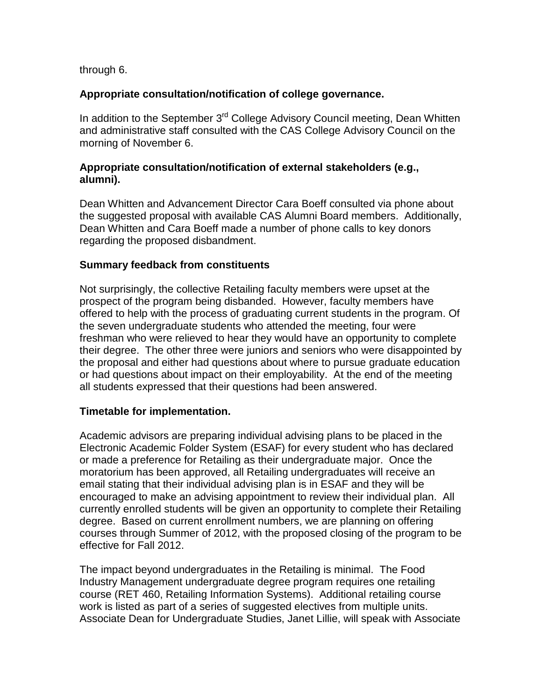through 6.

# **Appropriate consultation/notification of college governance.**

In addition to the September  $3<sup>rd</sup>$  College Advisory Council meeting, Dean Whitten and administrative staff consulted with the CAS College Advisory Council on the morning of November 6.

## **Appropriate consultation/notification of external stakeholders (e.g., alumni).**

Dean Whitten and Advancement Director Cara Boeff consulted via phone about the suggested proposal with available CAS Alumni Board members. Additionally, Dean Whitten and Cara Boeff made a number of phone calls to key donors regarding the proposed disbandment.

### **Summary feedback from constituents**

Not surprisingly, the collective Retailing faculty members were upset at the prospect of the program being disbanded. However, faculty members have offered to help with the process of graduating current students in the program. Of the seven undergraduate students who attended the meeting, four were freshman who were relieved to hear they would have an opportunity to complete their degree. The other three were juniors and seniors who were disappointed by the proposal and either had questions about where to pursue graduate education or had questions about impact on their employability. At the end of the meeting all students expressed that their questions had been answered.

### **Timetable for implementation.**

Academic advisors are preparing individual advising plans to be placed in the Electronic Academic Folder System (ESAF) for every student who has declared or made a preference for Retailing as their undergraduate major. Once the moratorium has been approved, all Retailing undergraduates will receive an email stating that their individual advising plan is in ESAF and they will be encouraged to make an advising appointment to review their individual plan. All currently enrolled students will be given an opportunity to complete their Retailing degree. Based on current enrollment numbers, we are planning on offering courses through Summer of 2012, with the proposed closing of the program to be effective for Fall 2012.

The impact beyond undergraduates in the Retailing is minimal. The Food Industry Management undergraduate degree program requires one retailing course (RET 460, Retailing Information Systems). Additional retailing course work is listed as part of a series of suggested electives from multiple units. Associate Dean for Undergraduate Studies, Janet Lillie, will speak with Associate